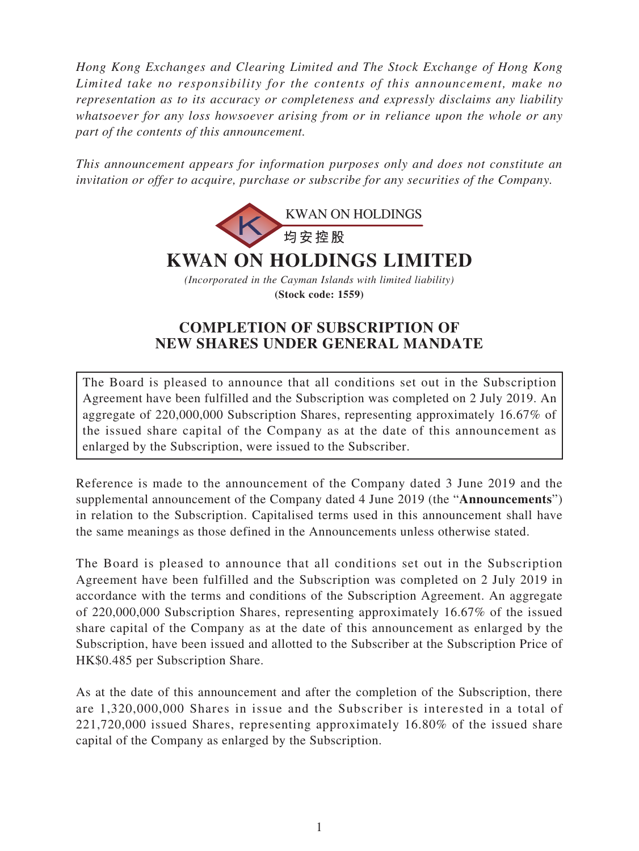*Hong Kong Exchanges and Clearing Limited and The Stock Exchange of Hong Kong Limited take no responsibility for the contents of this announcement, make no representation as to its accuracy or completeness and expressly disclaims any liability whatsoever for any loss howsoever arising from or in reliance upon the whole or any part of the contents of this announcement.*

*This announcement appears for information purposes only and does not constitute an invitation or offer to acquire, purchase or subscribe for any securities of the Company.*



## **COMPLETION OF SUBSCRIPTION OF NEW SHARES UNDER GENERAL MANDATE**

The Board is pleased to announce that all conditions set out in the Subscription Agreement have been fulfilled and the Subscription was completed on 2 July 2019. An aggregate of 220,000,000 Subscription Shares, representing approximately 16.67% of the issued share capital of the Company as at the date of this announcement as enlarged by the Subscription, were issued to the Subscriber.

Reference is made to the announcement of the Company dated 3 June 2019 and the supplemental announcement of the Company dated 4 June 2019 (the "**Announcements**") in relation to the Subscription. Capitalised terms used in this announcement shall have the same meanings as those defined in the Announcements unless otherwise stated.

The Board is pleased to announce that all conditions set out in the Subscription Agreement have been fulfilled and the Subscription was completed on 2 July 2019 in accordance with the terms and conditions of the Subscription Agreement. An aggregate of 220,000,000 Subscription Shares, representing approximately 16.67% of the issued share capital of the Company as at the date of this announcement as enlarged by the Subscription, have been issued and allotted to the Subscriber at the Subscription Price of HK\$0.485 per Subscription Share.

As at the date of this announcement and after the completion of the Subscription, there are 1,320,000,000 Shares in issue and the Subscriber is interested in a total of 221,720,000 issued Shares, representing approximately 16.80% of the issued share capital of the Company as enlarged by the Subscription.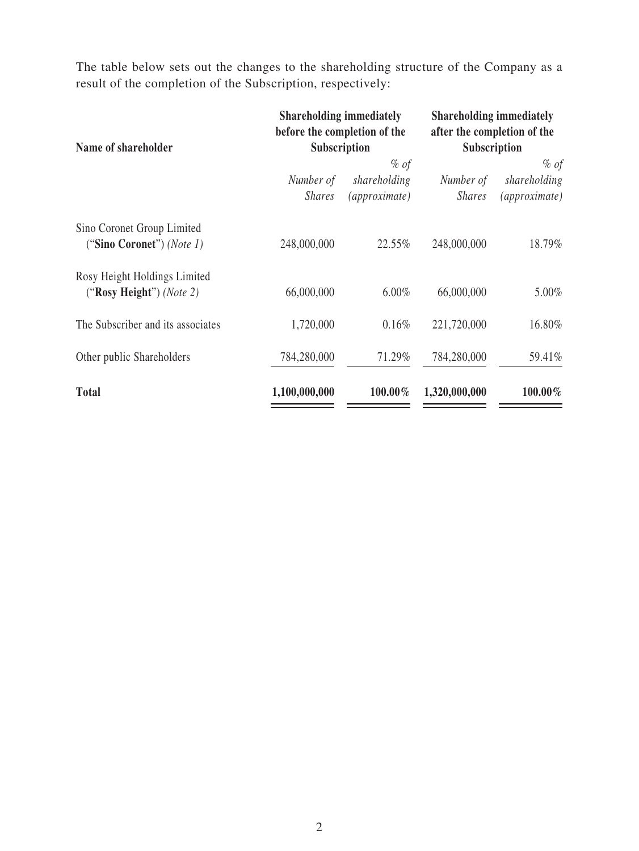The table below sets out the changes to the shareholding structure of the Company as a result of the completion of the Subscription, respectively:

| Name of shareholder                                      | <b>Shareholding immediately</b><br>before the completion of the<br>Subscription |                               | <b>Shareholding immediately</b><br>after the completion of the<br>Subscription |                               |
|----------------------------------------------------------|---------------------------------------------------------------------------------|-------------------------------|--------------------------------------------------------------------------------|-------------------------------|
|                                                          |                                                                                 | $%$ of                        |                                                                                | % of                          |
|                                                          | Number of<br><b>Shares</b>                                                      | shareholding<br>(approximate) | Number of<br><b>Shares</b>                                                     | shareholding<br>(approximate) |
| Sino Coronet Group Limited<br>("Sino Coronet") (Note 1)  | 248,000,000                                                                     | 22.55%                        | 248,000,000                                                                    | 18.79%                        |
| Rosy Height Holdings Limited<br>("Rosy Height") (Note 2) | 66,000,000                                                                      | $6.00\%$                      | 66,000,000                                                                     | 5.00%                         |
| The Subscriber and its associates                        | 1,720,000                                                                       | 0.16%                         | 221,720,000                                                                    | 16.80%                        |
| Other public Shareholders                                | 784,280,000                                                                     | 71.29%                        | 784,280,000                                                                    | 59.41%                        |
| <b>Total</b>                                             | 1,100,000,000                                                                   | 100.00%                       | 1,320,000,000                                                                  | 100.00%                       |